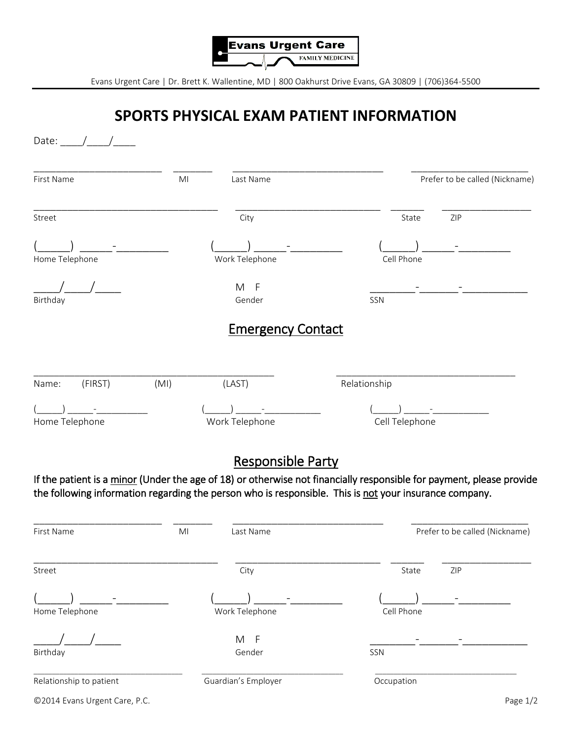

Evans Urgent Care | Dr. Brett K. Wallentine, MD | 800 Oakhurst Drive Evans, GA 30809 | (706)364-5500

## **SPORTS PHYSICAL EXAM PATIENT INFORMATION**

| Date: $/$ /             |                |                                                                                                        |                |                                                                                                                      |
|-------------------------|----------------|--------------------------------------------------------------------------------------------------------|----------------|----------------------------------------------------------------------------------------------------------------------|
| First Name              | M <sub>l</sub> | Last Name                                                                                              |                | Prefer to be called (Nickname)                                                                                       |
| Street                  |                | City                                                                                                   | State          | ZIP                                                                                                                  |
|                         |                |                                                                                                        |                |                                                                                                                      |
| Home Telephone          |                | Work Telephone                                                                                         | Cell Phone     |                                                                                                                      |
| Birthday                |                | M<br>- F<br>Gender                                                                                     | SSN            |                                                                                                                      |
|                         |                | <b>Emergency Contact</b>                                                                               |                |                                                                                                                      |
| (FIRST)<br>Name:        | (MI)           | (LAST)                                                                                                 | Relationship   |                                                                                                                      |
|                         |                |                                                                                                        |                |                                                                                                                      |
| Home Telephone          |                | Work Telephone                                                                                         | Cell Telephone |                                                                                                                      |
|                         |                | <b>Responsible Party</b>                                                                               |                |                                                                                                                      |
|                         |                | the following information regarding the person who is responsible. This is not your insurance company. |                | If the patient is a minor (Under the age of 18) or otherwise not financially responsible for payment, please provide |
| First Name              | MI             | Last Name                                                                                              |                | Prefer to be called (Nickname)                                                                                       |
| Street                  |                | City                                                                                                   | State          | ZIP                                                                                                                  |
|                         |                |                                                                                                        |                |                                                                                                                      |
| Home Telephone          |                | Work Telephone                                                                                         | Cell Phone     |                                                                                                                      |
|                         |                | $M$ F                                                                                                  |                |                                                                                                                      |
| Birthday                |                | Gender                                                                                                 | SSN            |                                                                                                                      |
| Relationship to patient |                | Guardian's Employer                                                                                    | Occupation     |                                                                                                                      |

©2014 Evans Urgent Care, P.C. Page 1/2